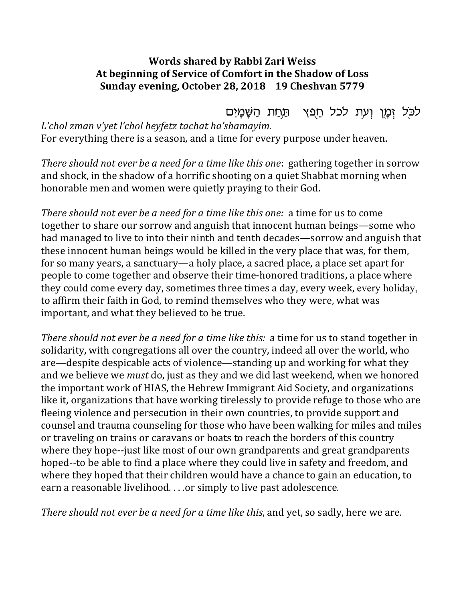## **Words shared by Rabbi Zari Weiss** At beginning of Service of Comfort in the Shadow of Loss Sunday evening, October 28, 2018 19 Cheshvan 5779

לכּל זָמֵן וִעְת לכל חֵפֵץ - תַּחַת הַשֵּׁמַיִם *L'chol zman v'yet l'chol heyfetz tachat ha'shamayim.* For everything there is a season, and a time for every purpose under heaven.

*There should not ever be a need for a time like this one:* gathering together in sorrow and shock, in the shadow of a horrific shooting on a quiet Shabbat morning when honorable men and women were quietly praying to their God.

*There should not ever be a need for a time like this one:* a time for us to come together to share our sorrow and anguish that innocent human beings—some who had managed to live to into their ninth and tenth decades—sorrow and anguish that these innocent human beings would be killed in the very place that was, for them, for so many years, a sanctuary—a holy place, a sacred place, a place set apart for people to come together and observe their time-honored traditions, a place where they could come every day, sometimes three times a day, every week, every holiday, to affirm their faith in God, to remind themselves who they were, what was important, and what they believed to be true.

*There should not ever be a need for a time like this:* a time for us to stand together in solidarity, with congregations all over the country, indeed all over the world, who are—despite despicable acts of violence—standing up and working for what they and we believe we *must* do, just as they and we did last weekend, when we honored the important work of HIAS, the Hebrew Immigrant Aid Society, and organizations like it, organizations that have working tirelessly to provide refuge to those who are fleeing violence and persecution in their own countries, to provide support and counsel and trauma counseling for those who have been walking for miles and miles or traveling on trains or caravans or boats to reach the borders of this country where they hope--just like most of our own grandparents and great grandparents hoped--to be able to find a place where they could live in safety and freedom, and where they hoped that their children would have a chance to gain an education, to earn a reasonable livelihood. . . .or simply to live past adolescence.

*There should not ever be a need for a time like this, and yet, so sadly, here we are.*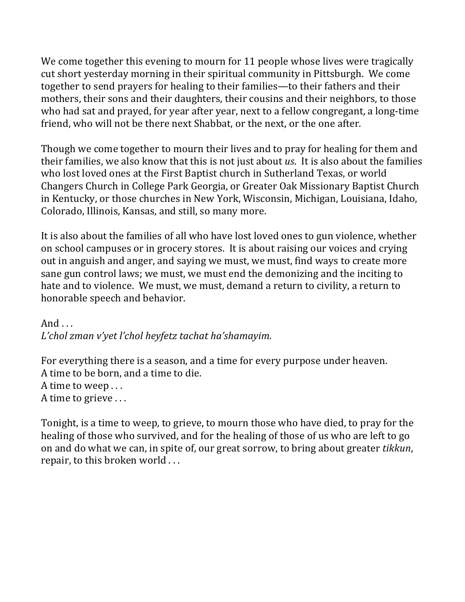We come together this evening to mourn for 11 people whose lives were tragically cut short yesterday morning in their spiritual community in Pittsburgh. We come together to send prayers for healing to their families—to their fathers and their mothers, their sons and their daughters, their cousins and their neighbors, to those who had sat and prayed, for year after year, next to a fellow congregant, a long-time friend, who will not be there next Shabbat, or the next, or the one after.

Though we come together to mourn their lives and to pray for healing for them and their families, we also know that this is not just about *us*. It is also about the families who lost loved ones at the First Baptist church in Sutherland Texas, or world Changers Church in College Park Georgia, or Greater Oak Missionary Baptist Church in Kentucky, or those churches in New York, Wisconsin, Michigan, Louisiana, Idaho, Colorado, Illinois, Kansas, and still, so many more.

It is also about the families of all who have lost loved ones to gun violence, whether on school campuses or in grocery stores. It is about raising our voices and crying out in anguish and anger, and saying we must, we must, find ways to create more sane gun control laws; we must, we must end the demonizing and the inciting to hate and to violence. We must, we must, demand a return to civility, a return to honorable speech and behavior.

And  $\ldots$ *L'chol zman v'yet l'chol heyfetz tachat ha'shamayim.*

For everything there is a season, and a time for every purpose under heaven. A time to be born, and a time to die. A time to weep . . . A time to grieve ...

Tonight, is a time to weep, to grieve, to mourn those who have died, to pray for the healing of those who survived, and for the healing of those of us who are left to go on and do what we can, in spite of, our great sorrow, to bring about greater *tikkun*, repair, to this broken world ...